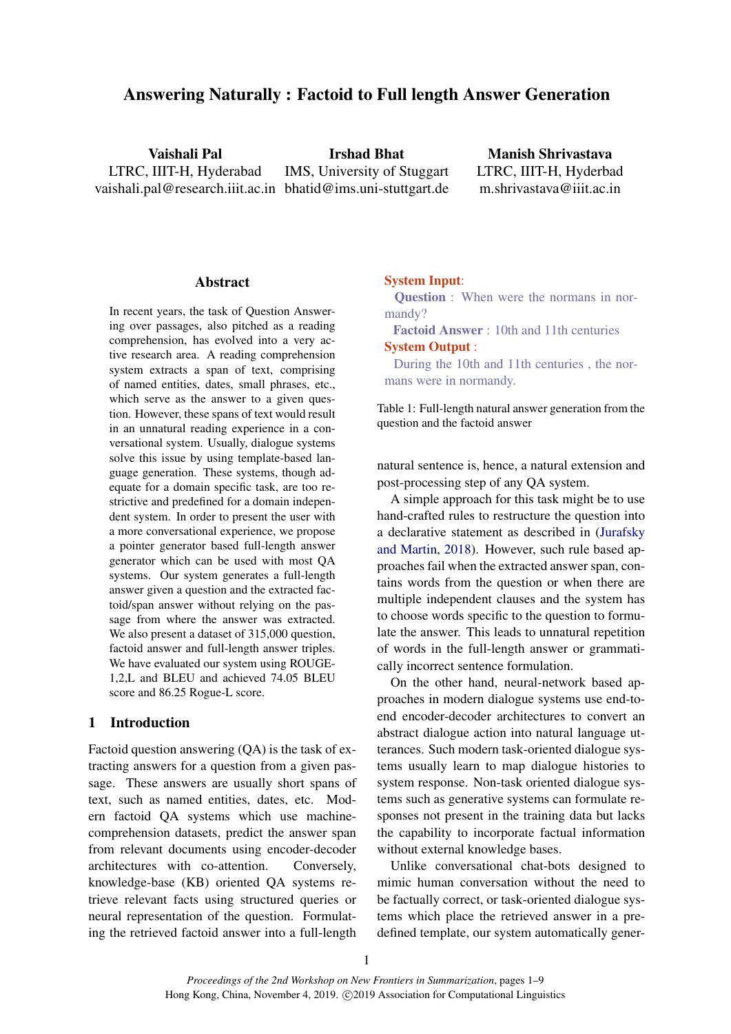# Answering Naturally : Factoid to Full length Answer Generation

Vaishali Pal LTRC, IIIT-H, Hyderabad vaishali.pal@research.iiit.ac.in bhatid@ims.uni-stuttgart.de Irshad Bhat IMS, University of Stuggart

Manish Shrivastava LTRC, IIIT-H, Hyderbad m.shrivastava@iiit.ac.in

### Abstract

In recent years, the task of Question Answering over passages, also pitched as a reading comprehension, has evolved into a very active research area. A reading comprehension system extracts a span of text, comprising of named entities, dates, small phrases, etc., which serve as the answer to a given question. However, these spans of text would result in an unnatural reading experience in a conversational system. Usually, dialogue systems solve this issue by using template-based language generation. These systems, though adequate for a domain specific task, are too restrictive and predefined for a domain independent system. In order to present the user with a more conversational experience, we propose a pointer generator based full-length answer generator which can be used with most QA systems. Our system generates a full-length answer given a question and the extracted factoid/span answer without relying on the passage from where the answer was extracted. We also present a dataset of 315,000 question, factoid answer and full-length answer triples. We have evaluated our system using ROUGE-1,2,L and BLEU and achieved 74.05 BLEU score and 86.25 Rogue-L score.

#### 1 Introduction

Factoid question answering (QA) is the task of extracting answers for a question from a given passage. These answers are usually short spans of text, such as named entities, dates, etc. Modern factoid QA systems which use machinecomprehension datasets, predict the answer span from relevant documents using encoder-decoder architectures with co-attention. Conversely, knowledge-base (KB) oriented QA systems retrieve relevant facts using structured queries or neural representation of the question. Formulating the retrieved factoid answer into a full-length

#### <span id="page-0-0"></span>System Input:

Question : When were the normans in normandy?

Factoid Answer : 10th and 11th centuries System Output :

During the 10th and 11th centuries , the normans were in normandy.

Table 1: Full-length natural answer generation from the question and the factoid answer

natural sentence is, hence, a natural extension and post-processing step of any QA system.

A simple approach for this task might be to use hand-crafted rules to restructure the question into a declarative statement as described in [\(Jurafsky](#page-8-0) [and Martin,](#page-8-0) [2018\)](#page-8-0). However, such rule based approaches fail when the extracted answer span, contains words from the question or when there are multiple independent clauses and the system has to choose words specific to the question to formulate the answer. This leads to unnatural repetition of words in the full-length answer or grammatically incorrect sentence formulation.

On the other hand, neural-network based approaches in modern dialogue systems use end-toend encoder-decoder architectures to convert an abstract dialogue action into natural language utterances. Such modern task-oriented dialogue systems usually learn to map dialogue histories to system response. Non-task oriented dialogue systems such as generative systems can formulate responses not present in the training data but lacks the capability to incorporate factual information without external knowledge bases.

Unlike conversational chat-bots designed to mimic human conversation without the need to be factually correct, or task-oriented dialogue systems which place the retrieved answer in a predefined template, our system automatically gener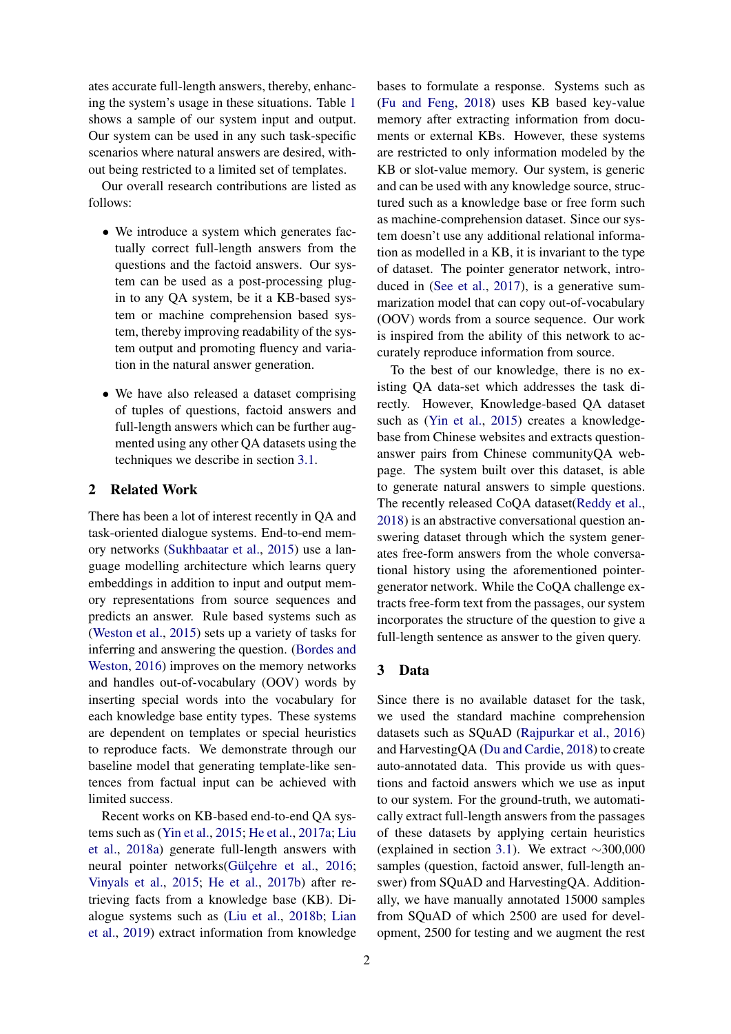ates accurate full-length answers, thereby, enhancing the system's usage in these situations. Table [1](#page-0-0) shows a sample of our system input and output. Our system can be used in any such task-specific scenarios where natural answers are desired, without being restricted to a limited set of templates.

Our overall research contributions are listed as follows:

- We introduce a system which generates factually correct full-length answers from the questions and the factoid answers. Our system can be used as a post-processing plugin to any QA system, be it a KB-based system or machine comprehension based system, thereby improving readability of the system output and promoting fluency and variation in the natural answer generation.
- We have also released a dataset comprising of tuples of questions, factoid answers and full-length answers which can be further augmented using any other QA datasets using the techniques we describe in section [3.1.](#page-2-0)

## 2 Related Work

There has been a lot of interest recently in QA and task-oriented dialogue systems. End-to-end memory networks [\(Sukhbaatar et al.,](#page-8-1) [2015\)](#page-8-1) use a language modelling architecture which learns query embeddings in addition to input and output memory representations from source sequences and predicts an answer. Rule based systems such as [\(Weston et al.,](#page-8-2) [2015\)](#page-8-2) sets up a variety of tasks for inferring and answering the question. [\(Bordes and](#page-8-3) [Weston,](#page-8-3) [2016\)](#page-8-3) improves on the memory networks and handles out-of-vocabulary (OOV) words by inserting special words into the vocabulary for each knowledge base entity types. These systems are dependent on templates or special heuristics to reproduce facts. We demonstrate through our baseline model that generating template-like sentences from factual input can be achieved with limited success.

Recent works on KB-based end-to-end QA systems such as [\(Yin et al.,](#page-8-4) [2015;](#page-8-4) [He et al.,](#page-8-5) [2017a;](#page-8-5) [Liu](#page-8-6) [et al.,](#page-8-6) [2018a\)](#page-8-6) generate full-length answers with neural pointer networks(Gülcehre et al., [2016;](#page-8-7) [Vinyals et al.,](#page-8-8) [2015;](#page-8-8) [He et al.,](#page-8-9) [2017b\)](#page-8-9) after retrieving facts from a knowledge base (KB). Dialogue systems such as [\(Liu et al.,](#page-8-10) [2018b;](#page-8-10) [Lian](#page-8-11) [et al.,](#page-8-11) [2019\)](#page-8-11) extract information from knowledge bases to formulate a response. Systems such as [\(Fu and Feng,](#page-8-12) [2018\)](#page-8-12) uses KB based key-value memory after extracting information from documents or external KBs. However, these systems are restricted to only information modeled by the KB or slot-value memory. Our system, is generic and can be used with any knowledge source, structured such as a knowledge base or free form such as machine-comprehension dataset. Since our system doesn't use any additional relational information as modelled in a KB, it is invariant to the type of dataset. The pointer generator network, introduced in [\(See et al.,](#page-8-13) [2017\)](#page-8-13), is a generative summarization model that can copy out-of-vocabulary (OOV) words from a source sequence. Our work is inspired from the ability of this network to accurately reproduce information from source.

To the best of our knowledge, there is no existing QA data-set which addresses the task directly. However, Knowledge-based QA dataset such as [\(Yin et al.,](#page-8-4) [2015\)](#page-8-4) creates a knowledgebase from Chinese websites and extracts questionanswer pairs from Chinese communityQA webpage. The system built over this dataset, is able to generate natural answers to simple questions. The recently released CoQA dataset[\(Reddy et al.,](#page-8-14) [2018\)](#page-8-14) is an abstractive conversational question answering dataset through which the system generates free-form answers from the whole conversational history using the aforementioned pointergenerator network. While the CoQA challenge extracts free-form text from the passages, our system incorporates the structure of the question to give a full-length sentence as answer to the given query.

#### 3 Data

Since there is no available dataset for the task, we used the standard machine comprehension datasets such as SQuAD [\(Rajpurkar et al.,](#page-8-15) [2016\)](#page-8-15) and HarvestingQA [\(Du and Cardie,](#page-8-16) [2018\)](#page-8-16) to create auto-annotated data. This provide us with questions and factoid answers which we use as input to our system. For the ground-truth, we automatically extract full-length answers from the passages of these datasets by applying certain heuristics (explained in section [3.1\)](#page-2-0). We extract ∼300,000 samples (question, factoid answer, full-length answer) from SQuAD and HarvestingQA. Additionally, we have manually annotated 15000 samples from SQuAD of which 2500 are used for development, 2500 for testing and we augment the rest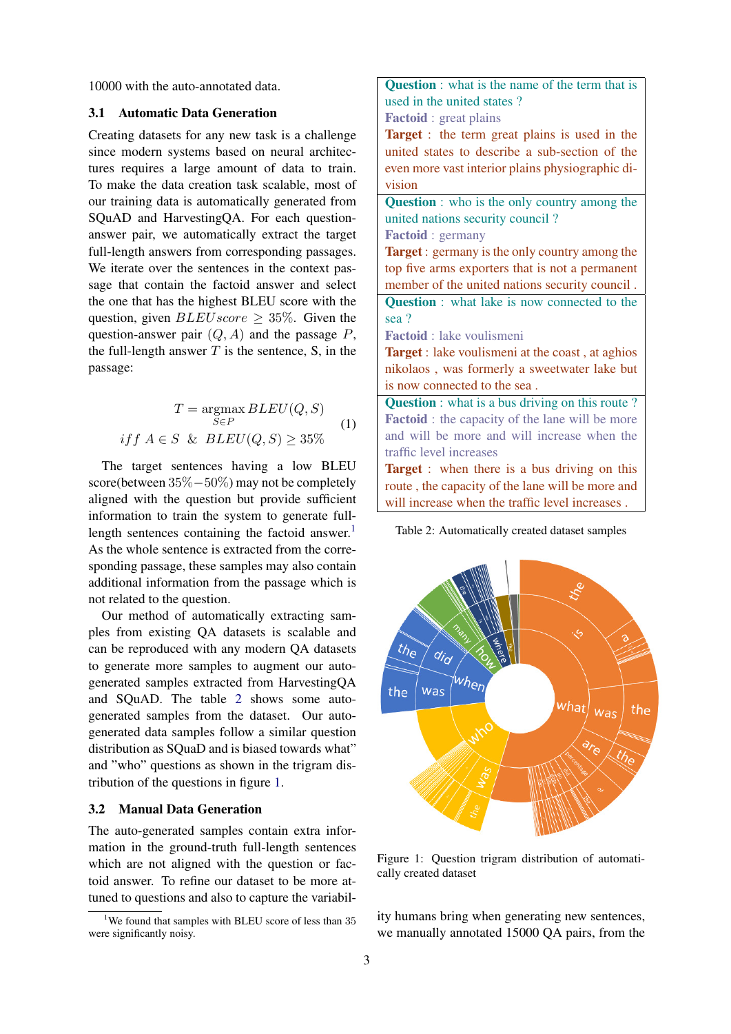10000 with the auto-annotated data.

#### <span id="page-2-0"></span>3.1 Automatic Data Generation

Creating datasets for any new task is a challenge since modern systems based on neural architectures requires a large amount of data to train. To make the data creation task scalable, most of our training data is automatically generated from SQuAD and HarvestingQA. For each questionanswer pair, we automatically extract the target full-length answers from corresponding passages. We iterate over the sentences in the context passage that contain the factoid answer and select the one that has the highest BLEU score with the question, given  $BLEU score \geq 35\%$ . Given the question-answer pair  $(Q, A)$  and the passage  $P$ , the full-length answer  $T$  is the sentence,  $S$ , in the passage:

$$
T = \underset{S \in P}{\text{argmax}} BLEU(Q, S)
$$
  
if f  $A \in S$  &  $BLEU(Q, S) \ge 35\%$  (1)

The target sentences having a low BLEU score(between 35%−50%) may not be completely aligned with the question but provide sufficient information to train the system to generate full-length sentences containing the factoid answer.<sup>[1](#page-2-1)</sup> As the whole sentence is extracted from the corresponding passage, these samples may also contain additional information from the passage which is not related to the question.

Our method of automatically extracting samples from existing QA datasets is scalable and can be reproduced with any modern QA datasets to generate more samples to augment our autogenerated samples extracted from HarvestingQA and SQuAD. The table [2](#page-2-2) shows some autogenerated samples from the dataset. Our autogenerated data samples follow a similar question distribution as SQuaD and is biased towards what" and "who" questions as shown in the trigram distribution of the questions in figure [1.](#page-2-3)

## 3.2 Manual Data Generation

The auto-generated samples contain extra information in the ground-truth full-length sentences which are not aligned with the question or factoid answer. To refine our dataset to be more attuned to questions and also to capture the variabil<span id="page-2-2"></span>Question : what is the name of the term that is used in the united states ? Factoid : great plains Target : the term great plains is used in the united states to describe a sub-section of the even more vast interior plains physiographic division **Question** : who is the only country among the united nations security council ? Factoid : germany **Target**: germany is the only country among the top five arms exporters that is not a permanent member of the united nations security council . Question : what lake is now connected to the sea ? Factoid : lake voulismeni Target : lake voulismeni at the coast, at aghios nikolaos , was formerly a sweetwater lake but is now connected to the sea . **Question** : what is a bus driving on this route? Factoid : the capacity of the lane will be more and will be more and will increase when the traffic level increases **Target** : when there is a bus driving on this route , the capacity of the lane will be more and will increase when the traffic level increases .



<span id="page-2-3"></span>

Figure 1: Question trigram distribution of automatically created dataset

ity humans bring when generating new sentences, we manually annotated 15000 QA pairs, from the

<span id="page-2-1"></span><sup>&</sup>lt;sup>1</sup>We found that samples with BLEU score of less than  $35$ were significantly noisy.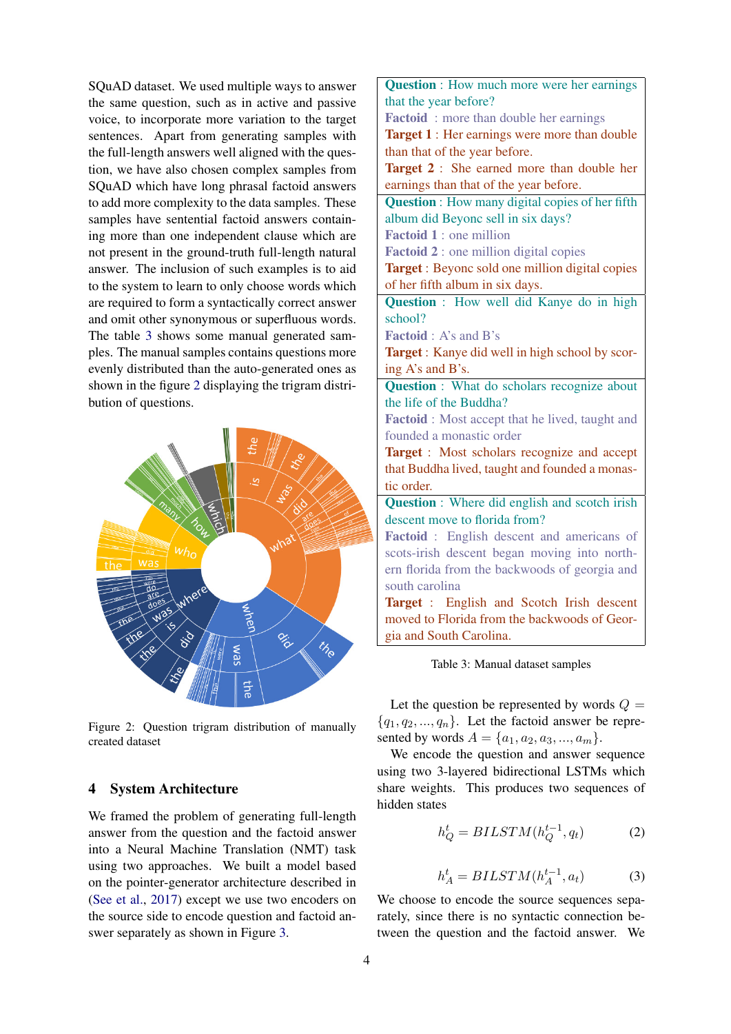SQuAD dataset. We used multiple ways to answer the same question, such as in active and passive voice, to incorporate more variation to the target sentences. Apart from generating samples with the full-length answers well aligned with the question, we have also chosen complex samples from SQuAD which have long phrasal factoid answers to add more complexity to the data samples. These samples have sentential factoid answers containing more than one independent clause which are not present in the ground-truth full-length natural answer. The inclusion of such examples is to aid to the system to learn to only choose words which are required to form a syntactically correct answer and omit other synonymous or superfluous words. The table [3](#page-3-0) shows some manual generated samples. The manual samples contains questions more evenly distributed than the auto-generated ones as shown in the figure [2](#page-3-1) displaying the trigram distribution of questions.

<span id="page-3-1"></span>

Figure 2: Question trigram distribution of manually created dataset

## 4 System Architecture

We framed the problem of generating full-length answer from the question and the factoid answer into a Neural Machine Translation (NMT) task using two approaches. We built a model based on the pointer-generator architecture described in [\(See et al.,](#page-8-13) [2017\)](#page-8-13) except we use two encoders on the source side to encode question and factoid answer separately as shown in Figure [3.](#page-4-0)

<span id="page-3-0"></span>Question : How much more were her earnings that the year before? Factoid: more than double her earnings Target 1 : Her earnings were more than double than that of the year before. Target 2 : She earned more than double her earnings than that of the year before. Question : How many digital copies of her fifth album did Beyonc sell in six days? Factoid 1 : one million Factoid 2 : one million digital copies Target : Beyonc sold one million digital copies of her fifth album in six days. Question : How well did Kanye do in high school? Factoid : A's and B's Target : Kanye did well in high school by scoring A's and B's. **Question** : What do scholars recognize about the life of the Buddha? Factoid : Most accept that he lived, taught and founded a monastic order Target : Most scholars recognize and accept that Buddha lived, taught and founded a monastic order. Question : Where did english and scotch irish descent move to florida from? Factoid : English descent and americans of scots-irish descent began moving into northern florida from the backwoods of georgia and south carolina Target : English and Scotch Irish descent moved to Florida from the backwoods of Georgia and South Carolina.

Table 3: Manual dataset samples

Let the question be represented by words  $Q =$  ${q_1, q_2, ..., q_n}$ . Let the factoid answer be represented by words  $A = \{a_1, a_2, a_3, ..., a_m\}.$ 

We encode the question and answer sequence using two 3-layered bidirectional LSTMs which share weights. This produces two sequences of hidden states

$$
h_Q^t = BILSTM(h_Q^{t-1}, q_t)
$$
 (2)

$$
h_A^t = BILSTM(h_A^{t-1}, a_t)
$$
 (3)

We choose to encode the source sequences separately, since there is no syntactic connection between the question and the factoid answer. We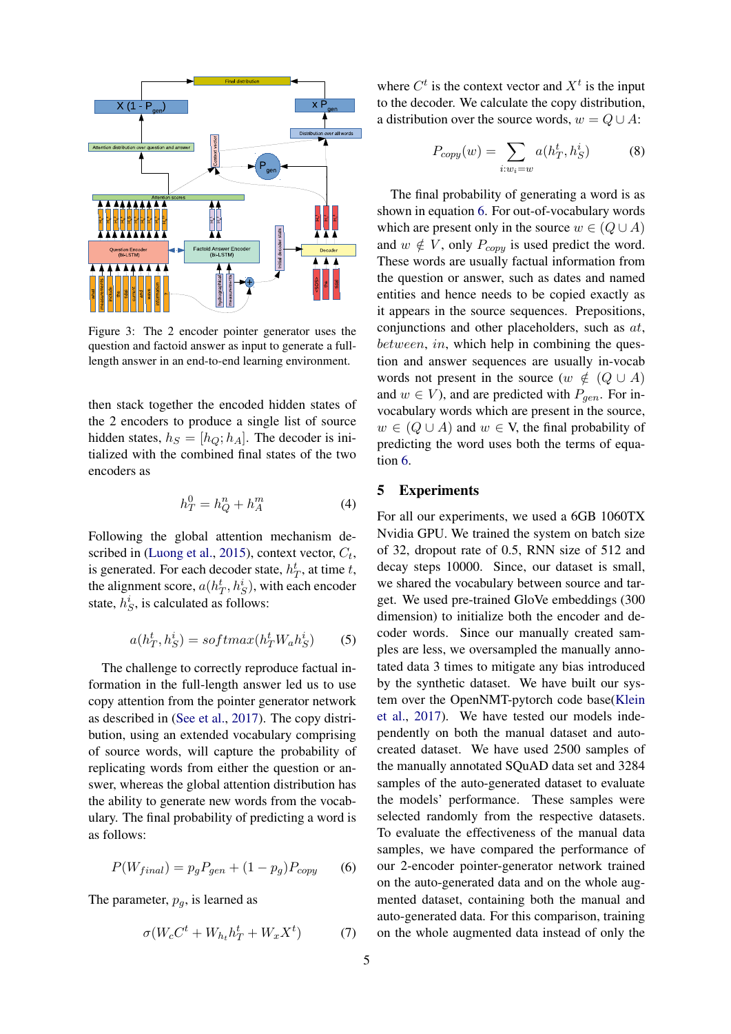<span id="page-4-0"></span>

Figure 3: The 2 encoder pointer generator uses the question and factoid answer as input to generate a fulllength answer in an end-to-end learning environment.

then stack together the encoded hidden states of the 2 encoders to produce a single list of source hidden states,  $h_S = [h_O; h_A]$ . The decoder is initialized with the combined final states of the two encoders as

$$
h_T^0 = h_Q^n + h_A^m \tag{4}
$$

Following the global attention mechanism de-scribed in [\(Luong et al.,](#page-8-17) [2015\)](#page-8-17), context vector,  $C_t$ , is generated. For each decoder state,  $h_T^t$ , at time t, the alignment score,  $a(h_T^t, h_S^i)$ , with each encoder state,  $h_S^i$ , is calculated as follows:

$$
a(h_T^t, h_S^i) = softmax(h_T^t W_a h_S^i)
$$
 (5)

The challenge to correctly reproduce factual information in the full-length answer led us to use copy attention from the pointer generator network as described in [\(See et al.,](#page-8-13) [2017\)](#page-8-13). The copy distribution, using an extended vocabulary comprising of source words, will capture the probability of replicating words from either the question or answer, whereas the global attention distribution has the ability to generate new words from the vocabulary. The final probability of predicting a word is as follows:

<span id="page-4-1"></span>
$$
P(W_{final}) = p_g P_{gen} + (1 - p_g) P_{copy} \qquad (6)
$$

The parameter,  $p_q$ , is learned as

$$
\sigma(W_c C^t + W_{h_t} h_T^t + W_x X^t) \tag{7}
$$

where  $C<sup>t</sup>$  is the context vector and  $X<sup>t</sup>$  is the input to the decoder. We calculate the copy distribution, a distribution over the source words,  $w = Q \cup A$ :

$$
P_{copy}(w) = \sum_{i:w_i=w} a(h_T^t, h_S^i)
$$
 (8)

The final probability of generating a word is as shown in equation [6.](#page-4-1) For out-of-vocabulary words which are present only in the source  $w \in (Q \cup A)$ and  $w \notin V$ , only  $P_{copy}$  is used predict the word. These words are usually factual information from the question or answer, such as dates and named entities and hence needs to be copied exactly as it appears in the source sequences. Prepositions, conjunctions and other placeholders, such as at, between, in, which help in combining the question and answer sequences are usually in-vocab words not present in the source  $(w \notin (Q \cup A))$ and  $w \in V$ ), and are predicted with  $P_{gen}$ . For invocabulary words which are present in the source,  $w \in (Q \cup A)$  and  $w \in V$ , the final probability of predicting the word uses both the terms of equation [6.](#page-4-1)

# 5 Experiments

For all our experiments, we used a 6GB 1060TX Nvidia GPU. We trained the system on batch size of 32, dropout rate of 0.5, RNN size of 512 and decay steps 10000. Since, our dataset is small, we shared the vocabulary between source and target. We used pre-trained GloVe embeddings (300 dimension) to initialize both the encoder and decoder words. Since our manually created samples are less, we oversampled the manually annotated data 3 times to mitigate any bias introduced by the synthetic dataset. We have built our system over the OpenNMT-pytorch code base[\(Klein](#page-8-18) [et al.,](#page-8-18) [2017\)](#page-8-18). We have tested our models independently on both the manual dataset and autocreated dataset. We have used 2500 samples of the manually annotated SQuAD data set and 3284 samples of the auto-generated dataset to evaluate the models' performance. These samples were selected randomly from the respective datasets. To evaluate the effectiveness of the manual data samples, we have compared the performance of our 2-encoder pointer-generator network trained on the auto-generated data and on the whole augmented dataset, containing both the manual and auto-generated data. For this comparison, training on the whole augmented data instead of only the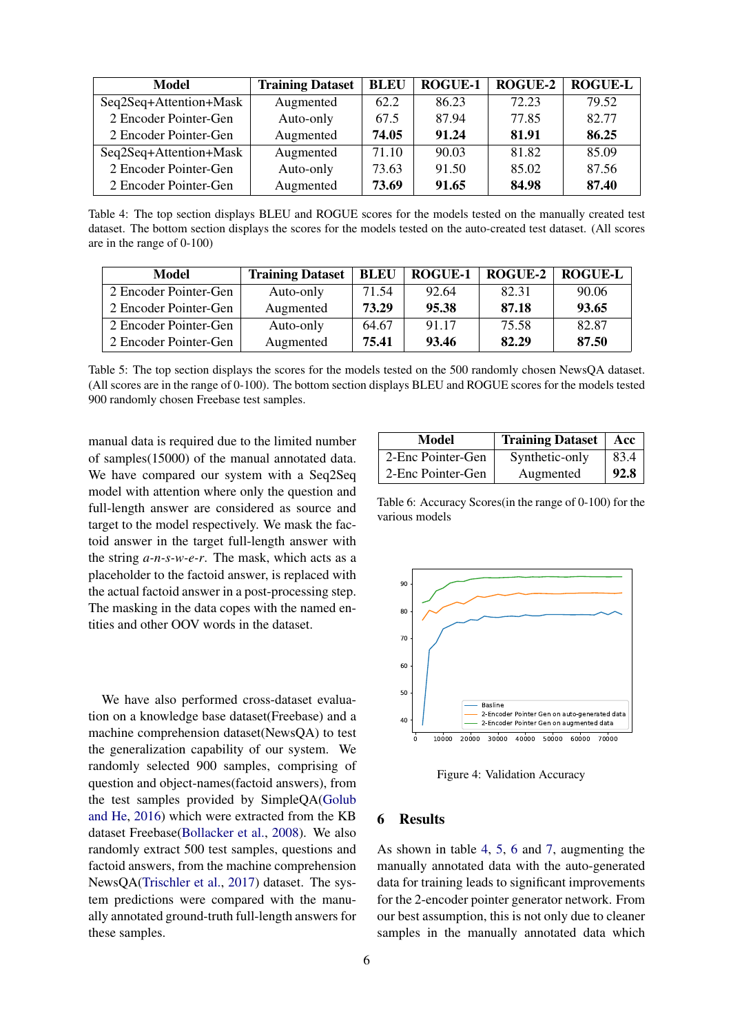<span id="page-5-0"></span>

| Model                  | <b>Training Dataset</b> | <b>BLEU</b> | <b>ROGUE-1</b> | <b>ROGUE-2</b> | <b>ROGUE-L</b> |
|------------------------|-------------------------|-------------|----------------|----------------|----------------|
| Seq2Seq+Attention+Mask | Augmented               | 62.2        | 86.23          | 72.23          | 79.52          |
| 2 Encoder Pointer-Gen  | Auto-only               | 67.5        | 87.94          | 77.85          | 82.77          |
| 2 Encoder Pointer-Gen  | Augmented               | 74.05       | 91.24          | 81.91          | 86.25          |
| Seq2Seq+Attention+Mask | Augmented               | 71.10       | 90.03          | 81.82          | 85.09          |
| 2 Encoder Pointer-Gen  | Auto-only               | 73.63       | 91.50          | 85.02          | 87.56          |
| 2 Encoder Pointer-Gen  | Augmented               | 73.69       | 91.65          | 84.98          | 87.40          |

Table 4: The top section displays BLEU and ROGUE scores for the models tested on the manually created test dataset. The bottom section displays the scores for the models tested on the auto-created test dataset. (All scores are in the range of 0-100)

<span id="page-5-1"></span>

| Model                 | <b>Training Dataset</b> | <b>BLEU</b> | <b>ROGUE-1</b> | <b>ROGUE-2</b> | <b>ROGUE-L</b> |
|-----------------------|-------------------------|-------------|----------------|----------------|----------------|
| 2 Encoder Pointer-Gen | Auto-only               | 71.54       | 92.64          | 82.31          | 90.06          |
| 2 Encoder Pointer-Gen | Augmented               | 73.29       | 95.38          | 87.18          | 93.65          |
| 2 Encoder Pointer-Gen | Auto-only               | 64.67       | 91.17          | 75.58          | 82.87          |
| 2 Encoder Pointer-Gen | Augmented               | 75.41       | 93.46          | 82.29          | 87.50          |

Table 5: The top section displays the scores for the models tested on the 500 randomly chosen NewsQA dataset. (All scores are in the range of 0-100). The bottom section displays BLEU and ROGUE scores for the models tested 900 randomly chosen Freebase test samples.

manual data is required due to the limited number of samples(15000) of the manual annotated data. We have compared our system with a Seq2Seq model with attention where only the question and full-length answer are considered as source and target to the model respectively. We mask the factoid answer in the target full-length answer with the string *a-n-s-w-e-r*. The mask, which acts as a placeholder to the factoid answer, is replaced with the actual factoid answer in a post-processing step. The masking in the data copes with the named entities and other OOV words in the dataset.

We have also performed cross-dataset evaluation on a knowledge base dataset(Freebase) and a machine comprehension dataset(NewsQA) to test the generalization capability of our system. We randomly selected 900 samples, comprising of question and object-names(factoid answers), from the test samples provided by SimpleQA[\(Golub](#page-8-19) [and He,](#page-8-19) [2016\)](#page-8-19) which were extracted from the KB dataset Freebase[\(Bollacker et al.,](#page-8-20) [2008\)](#page-8-20). We also randomly extract 500 test samples, questions and factoid answers, from the machine comprehension NewsQA[\(Trischler et al.,](#page-8-21) [2017\)](#page-8-21) dataset. The system predictions were compared with the manually annotated ground-truth full-length answers for these samples.

<span id="page-5-2"></span>

| Model             | <b>Training Dataset</b> | Acc  |
|-------------------|-------------------------|------|
| 2-Enc Pointer-Gen | Synthetic-only          | 83.4 |
| 2-Enc Pointer-Gen | Augmented               | 92.8 |

Table 6: Accuracy Scores(in the range of 0-100) for the various models

<span id="page-5-3"></span>

Figure 4: Validation Accuracy

#### 6 Results

As shown in table [4,](#page-5-0) [5,](#page-5-1) [6](#page-5-2) and [7,](#page-6-0) augmenting the manually annotated data with the auto-generated data for training leads to significant improvements for the 2-encoder pointer generator network. From our best assumption, this is not only due to cleaner samples in the manually annotated data which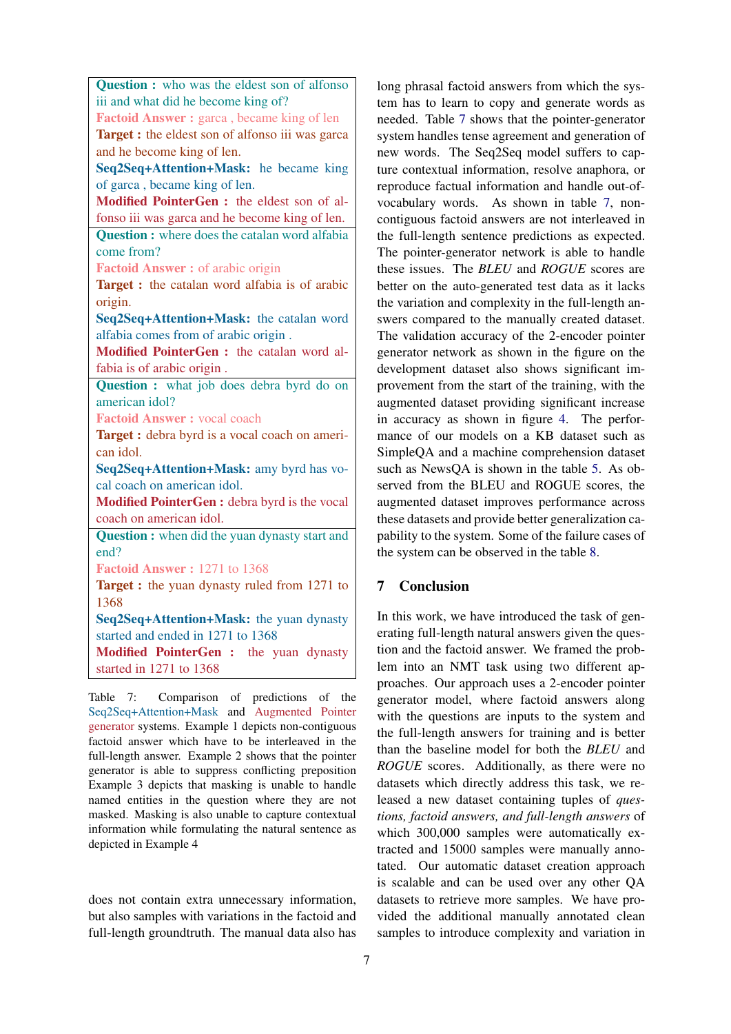<span id="page-6-0"></span>

| <b>Question :</b> who was the eldest son of alfonso   |  |  |
|-------------------------------------------------------|--|--|
| iii and what did he become king of?                   |  |  |
| Factoid Answer: garca, became king of len             |  |  |
| Target : the eldest son of alfonso iii was garca      |  |  |
| and he become king of len.                            |  |  |
| Seq2Seq+Attention+Mask: he became king                |  |  |
| of garca, became king of len.                         |  |  |
| Modified PointerGen : the eldest son of al-           |  |  |
| fonso iii was garca and he become king of len.        |  |  |
| <b>Question :</b> where does the catalan word alfabia |  |  |
| come from?                                            |  |  |
| <b>Factoid Answer: of arabic origin</b>               |  |  |
| <b>Target :</b> the catalan word alfabia is of arabic |  |  |
| origin.                                               |  |  |
| Seq2Seq+Attention+Mask: the catalan word              |  |  |
| alfabia comes from of arabic origin.                  |  |  |
| Modified PointerGen : the catalan word al-            |  |  |
| fabia is of arabic origin.                            |  |  |
| Question : what job does debra byrd do on             |  |  |
| american idol?                                        |  |  |
| <b>Factoid Answer: vocal coach</b>                    |  |  |
| Target : debra byrd is a vocal coach on ameri-        |  |  |
| can idol.                                             |  |  |
| Seq2Seq+Attention+Mask: amy byrd has vo-              |  |  |
| cal coach on american idol.                           |  |  |
| Modified PointerGen : debra byrd is the vocal         |  |  |
| coach on american idol.                               |  |  |
| Question : when did the yuan dynasty start and        |  |  |
| end?                                                  |  |  |
| Factoid Answer: 1271 to 1368                          |  |  |
| Target : the yuan dynasty ruled from 1271 to          |  |  |
| 1368                                                  |  |  |
| Seq2Seq+Attention+Mask: the yuan dynasty              |  |  |
| started and ended in 1271 to 1368                     |  |  |
| Modified PointerGen : the yuan dynasty                |  |  |
| started in 1271 to 1368                               |  |  |

Table 7: Comparison of predictions of the Seq2Seq+Attention+Mask and Augmented Pointer generator systems. Example 1 depicts non-contiguous factoid answer which have to be interleaved in the full-length answer. Example 2 shows that the pointer generator is able to suppress conflicting preposition Example 3 depicts that masking is unable to handle named entities in the question where they are not masked. Masking is also unable to capture contextual information while formulating the natural sentence as depicted in Example 4

does not contain extra unnecessary information, but also samples with variations in the factoid and full-length groundtruth. The manual data also has

long phrasal factoid answers from which the system has to learn to copy and generate words as needed. Table [7](#page-6-0) shows that the pointer-generator system handles tense agreement and generation of new words. The Seq2Seq model suffers to capture contextual information, resolve anaphora, or reproduce factual information and handle out-ofvocabulary words. As shown in table [7,](#page-6-0) noncontiguous factoid answers are not interleaved in the full-length sentence predictions as expected. The pointer-generator network is able to handle these issues. The *BLEU* and *ROGUE* scores are better on the auto-generated test data as it lacks the variation and complexity in the full-length answers compared to the manually created dataset. The validation accuracy of the 2-encoder pointer generator network as shown in the figure on the development dataset also shows significant improvement from the start of the training, with the augmented dataset providing significant increase in accuracy as shown in figure [4.](#page-5-3) The performance of our models on a KB dataset such as SimpleQA and a machine comprehension dataset such as NewsQA is shown in the table [5.](#page-5-1) As observed from the BLEU and ROGUE scores, the augmented dataset improves performance across these datasets and provide better generalization capability to the system. Some of the failure cases of the system can be observed in the table [8.](#page-7-0)

# 7 Conclusion

In this work, we have introduced the task of generating full-length natural answers given the question and the factoid answer. We framed the problem into an NMT task using two different approaches. Our approach uses a 2-encoder pointer generator model, where factoid answers along with the questions are inputs to the system and the full-length answers for training and is better than the baseline model for both the *BLEU* and *ROGUE* scores. Additionally, as there were no datasets which directly address this task, we released a new dataset containing tuples of *questions, factoid answers, and full-length answers* of which 300,000 samples were automatically extracted and 15000 samples were manually annotated. Our automatic dataset creation approach is scalable and can be used over any other QA datasets to retrieve more samples. We have provided the additional manually annotated clean samples to introduce complexity and variation in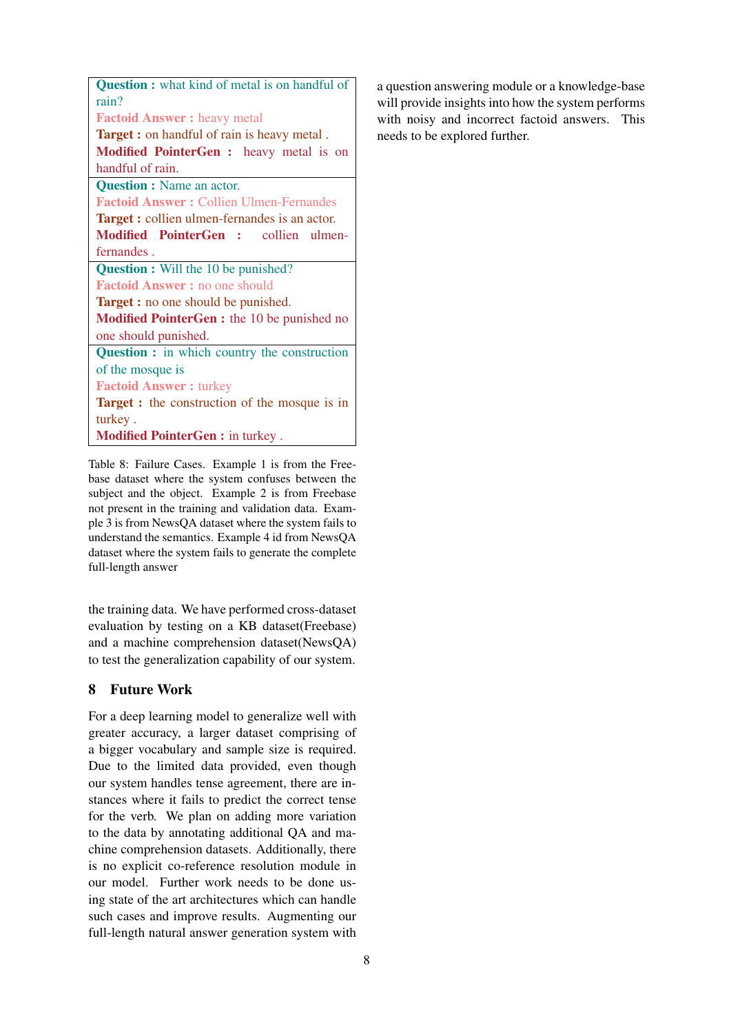<span id="page-7-0"></span>

| <b>Question :</b> what kind of metal is on handful of |  |  |
|-------------------------------------------------------|--|--|
| rain?                                                 |  |  |
| <b>Factoid Answer:</b> heavy metal                    |  |  |
| <b>Target :</b> on handful of rain is heavy metal.    |  |  |
| Modified PointerGen : heavy metal is on               |  |  |
| handful of rain.                                      |  |  |
| <b>Question :</b> Name an actor.                      |  |  |
| <b>Factoid Answer: Collien Ulmen-Fernandes</b>        |  |  |
| <b>Target :</b> collien ulmen-fernandes is an actor.  |  |  |
| Modified PointerGen : collien ulmen-                  |  |  |
| fernandes.                                            |  |  |
| <b>Question :</b> Will the 10 be punished?            |  |  |
| <b>Factoid Answer:</b> no one should                  |  |  |
| <b>Target :</b> no one should be punished.            |  |  |
| Modified PointerGen : the 10 be punished no           |  |  |
| one should punished.                                  |  |  |
| <b>Question :</b> in which country the construction   |  |  |
| of the mosque is                                      |  |  |
| <b>Factoid Answer: turkey</b>                         |  |  |
| <b>Target :</b> the construction of the mosque is in  |  |  |
| turkey.                                               |  |  |
| <b>Modified PointerGen: in turkey.</b>                |  |  |
|                                                       |  |  |

Table 8: Failure Cases. Example 1 is from the Freebase dataset where the system confuses between the subject and the object. Example 2 is from Freebase not present in the training and validation data. Example 3 is from NewsQA dataset where the system fails to understand the semantics. Example 4 id from NewsQA dataset where the system fails to generate the complete full-length answer

the training data. We have performed cross-dataset evaluation by testing on a KB dataset(Freebase) and a machine comprehension dataset(NewsQA) to test the generalization capability of our system.

# 8 Future Work

For a deep learning model to generalize well with greater accuracy, a larger dataset comprising of a bigger vocabulary and sample size is required. Due to the limited data provided, even though our system handles tense agreement, there are instances where it fails to predict the correct tense for the verb. We plan on adding more variation to the data by annotating additional QA and machine comprehension datasets. Additionally, there is no explicit co-reference resolution module in our model. Further work needs to be done using state of the art architectures which can handle such cases and improve results. Augmenting our full-length natural answer generation system with a question answering module or a knowledge-base will provide insights into how the system performs with noisy and incorrect factoid answers. This needs to be explored further.